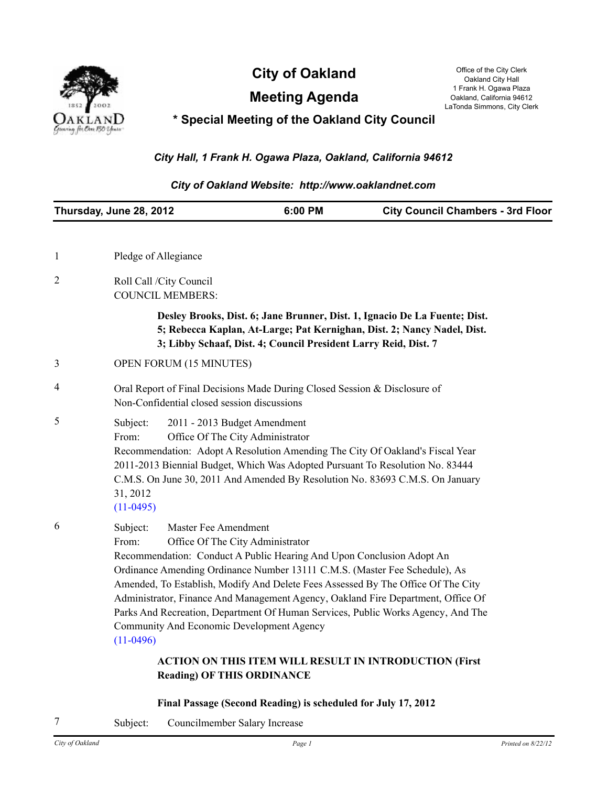

**City of Oakland** Office of the City Clerk City Clerk

**Meeting Agenda**

Oakland City Hall 1 Frank H. Ogawa Plaza Oakland, California 94612 LaTonda Simmons, City Clerk

# **\* Special Meeting of the Oakland City Council**

# *City Hall, 1 Frank H. Ogawa Plaza, Oakland, California 94612*

#### *City of Oakland Website: http://www.oaklandnet.com*

| Thursday, June 28, 2012 |                                                                                                                                                                                                                                                                                                                                                                     | 6:00 PM                                                                                                                                                                                 | <b>City Council Chambers - 3rd Floor</b>                                                                                                                                                                                                                 |
|-------------------------|---------------------------------------------------------------------------------------------------------------------------------------------------------------------------------------------------------------------------------------------------------------------------------------------------------------------------------------------------------------------|-----------------------------------------------------------------------------------------------------------------------------------------------------------------------------------------|----------------------------------------------------------------------------------------------------------------------------------------------------------------------------------------------------------------------------------------------------------|
|                         |                                                                                                                                                                                                                                                                                                                                                                     |                                                                                                                                                                                         |                                                                                                                                                                                                                                                          |
| 1                       | Pledge of Allegiance                                                                                                                                                                                                                                                                                                                                                |                                                                                                                                                                                         |                                                                                                                                                                                                                                                          |
| $\overline{2}$          | Roll Call /City Council<br><b>COUNCIL MEMBERS:</b>                                                                                                                                                                                                                                                                                                                  |                                                                                                                                                                                         |                                                                                                                                                                                                                                                          |
|                         |                                                                                                                                                                                                                                                                                                                                                                     | 3; Libby Schaaf, Dist. 4; Council President Larry Reid, Dist. 7                                                                                                                         | Desley Brooks, Dist. 6; Jane Brunner, Dist. 1, Ignacio De La Fuente; Dist.<br>5; Rebecca Kaplan, At-Large; Pat Kernighan, Dist. 2; Nancy Nadel, Dist.                                                                                                    |
| 3                       | <b>OPEN FORUM (15 MINUTES)</b>                                                                                                                                                                                                                                                                                                                                      |                                                                                                                                                                                         |                                                                                                                                                                                                                                                          |
| 4                       | Oral Report of Final Decisions Made During Closed Session & Disclosure of<br>Non-Confidential closed session discussions                                                                                                                                                                                                                                            |                                                                                                                                                                                         |                                                                                                                                                                                                                                                          |
| 5                       | Subject:<br>2011 - 2013 Budget Amendment<br>Office Of The City Administrator<br>From:<br>Recommendation: Adopt A Resolution Amending The City Of Oakland's Fiscal Year<br>2011-2013 Biennial Budget, Which Was Adopted Pursuant To Resolution No. 83444<br>C.M.S. On June 30, 2011 And Amended By Resolution No. 83693 C.M.S. On January<br>31, 2012<br>$(11-0495)$ |                                                                                                                                                                                         |                                                                                                                                                                                                                                                          |
| 6                       | Master Fee Amendment<br>Subject:<br>From:<br>Community And Economic Development Agency<br>$(11-0496)$                                                                                                                                                                                                                                                               | Office Of The City Administrator<br>Recommendation: Conduct A Public Hearing And Upon Conclusion Adopt An<br>Ordinance Amending Ordinance Number 13111 C.M.S. (Master Fee Schedule), As | Amended, To Establish, Modify And Delete Fees Assessed By The Office Of The City<br>Administrator, Finance And Management Agency, Oakland Fire Department, Office Of<br>Parks And Recreation, Department Of Human Services, Public Works Agency, And The |
|                         |                                                                                                                                                                                                                                                                                                                                                                     | <b>Reading) OF THIS ORDINANCE</b>                                                                                                                                                       | <b>ACTION ON THIS ITEM WILL RESULT IN INTRODUCTION (First</b>                                                                                                                                                                                            |

- **Final Passage (Second Reading) is scheduled for July 17, 2012**
- 7 Subject: Councilmember Salary Increase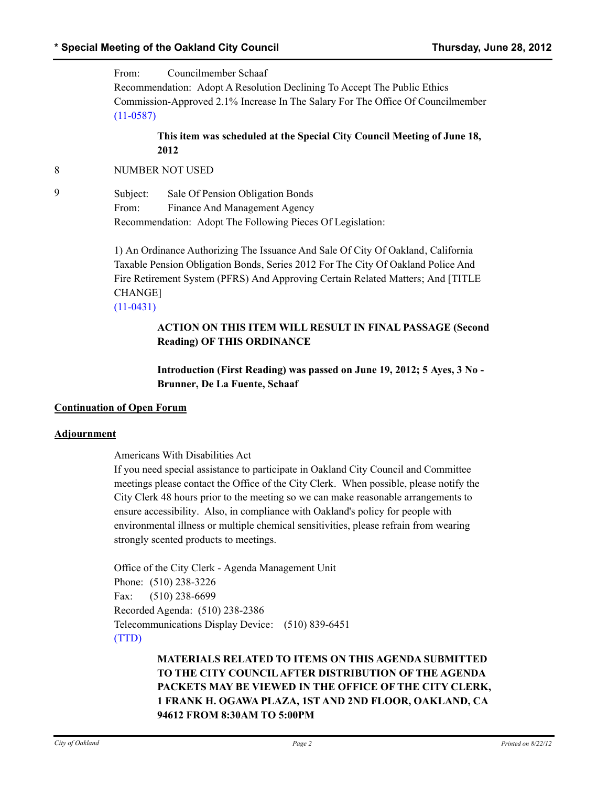From: Councilmember Schaaf Recommendation: Adopt A Resolution Declining To Accept The Public Ethics Commission-Approved 2.1% Increase In The Salary For The Office Of Councilmember [\(11-0587\)](http://oakland.legistar.com/gateway.aspx?M=L&ID=21442)

## **This item was scheduled at the Special City Council Meeting of June 18, 2012**

## 8 NUMBER NOT USED

9 Subject: Sale Of Pension Obligation Bonds From: Finance And Management Agency Recommendation: Adopt The Following Pieces Of Legislation:

> 1) An Ordinance Authorizing The Issuance And Sale Of City Of Oakland, California Taxable Pension Obligation Bonds, Series 2012 For The City Of Oakland Police And Fire Retirement System (PFRS) And Approving Certain Related Matters; And [TITLE CHANGE] [\(11-0431\)](http://oakland.legistar.com/gateway.aspx?M=L&ID=21194)

## **ACTION ON THIS ITEM WILL RESULT IN FINAL PASSAGE (Second Reading) OF THIS ORDINANCE**

**Introduction (First Reading) was passed on June 19, 2012; 5 Ayes, 3 No - Brunner, De La Fuente, Schaaf**

#### **Continuation of Open Forum**

#### **Adjournment**

Americans With Disabilities Act

If you need special assistance to participate in Oakland City Council and Committee meetings please contact the Office of the City Clerk. When possible, please notify the City Clerk 48 hours prior to the meeting so we can make reasonable arrangements to ensure accessibility. Also, in compliance with Oakland's policy for people with environmental illness or multiple chemical sensitivities, please refrain from wearing strongly scented products to meetings.

Office of the City Clerk - Agenda Management Unit Phone: (510) 238-3226 Fax: (510) 238-6699 Recorded Agenda: (510) 238-2386 Telecommunications Display Device: (510) 839-6451 [\(TTD\)](http://oakland.legistar.com/gateway.aspx?M=L&ID=6787)

> **MATERIALS RELATED TO ITEMS ON THIS AGENDA SUBMITTED TO THE CITY COUNCIL AFTER DISTRIBUTION OF THE AGENDA PACKETS MAY BE VIEWED IN THE OFFICE OF THE CITY CLERK, 1 FRANK H. OGAWA PLAZA, 1ST AND 2ND FLOOR, OAKLAND, CA 94612 FROM 8:30AM TO 5:00PM**